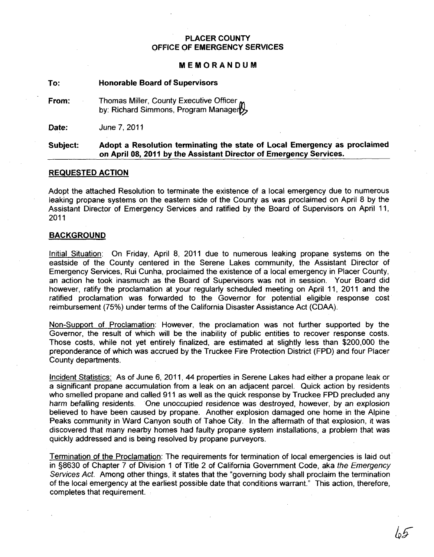### PLACER COUNTY OFFICE OF EMERGENCY SERVICES

#### MEMORANDUM

To: Honorable Board of Supervisors

From: Thomas Miller, County Executive Officer, by: Richard Simmons, Program Manager

Date: June 7,2011

#### Subject: Adopt a Resolution terminating the state of Local Emergency as proclaimed on April 08, 2011 by the Assistant Director of Emergency Services.

#### REQUESTED ACTION

Adopt the attached Resolution to terminate the existence of a local emergency due to numerous leaking propane systems on the eastern side of the County as was proclaimed on April 8 by the Assistant Director of Emergency Services and ratified by the Board of Supervisors on April 11, 2011

#### BACKGROUND

Initial Situation: On Friday, April 8, 2011 due to numerous leaking propane systems on the eastside of the County centered in the Serene Lakes community, the Assistant Director of Emergency Services, Rui Cunha, proclaimed the existence of a local emergency in Placer County, an action he took inasmuch as the Board of Supervisors was not in session. Your Board did however, ratify the proclamation at your regularly scheduled meeting on April 11, 2011 and the ratified proclamation was forwarded to the Governor for potential eligible response cost reimbursement (75%) under terms of the California Disaster Assistance Act (COM).

Non-Support of Proclamation: However, the proclamation was not further supported by the Governor, the result of which will be the inability of public entities to recover response costs. Those costs, while not yet entirely finalized, are estimated at slightly less than \$200,000 the preponderance of which was accrued by the Truckee Fire Protection District (FPD) and four Placer County departments.

Incident Statistics: As of June 6, 2011, 44 properties in Serene Lakes had either a propane leak or a significant propane accumulation from a leak on an adjacent parcel. Quick action by residents who smelled propane and called 911 as well as the quick response by Truckee FPD precluqed any harm befalling residents. One unoccupied residence was destroyed, however, by an explosion believed to have been caused by propane. Another explosion damaged one home in the Alpine Peaks community in Ward Canyon south of Tahoe City. In the aftermath of that explosion, it was discovered that many nearby homes had faulty propane system installations, a problem that was quickly addressed and is being resolved by propane purveyors.

Termination of the Proclamation: The requirements for termination of local emergencies is laid out in §8630 of Chapter 7 of Division 1 of Title 2 of California Government Code, aka the Emergency Services Act. Among other things, it states that the "governing body shall proclaim the termination of the local emergency at the earliest possible date that conditions warrant." This action, therefore, completes that requirement.

lo5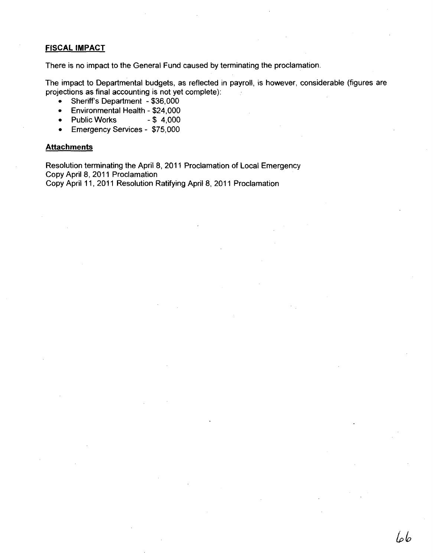# **FISCAL IMPACT**

There is no impact to the General Fund caused by terminating the proclamation.

The impact to Departmental budgets, as reflected in payroll, is however, considerable (figures are projections as final accounting is not yet complete):

66

- Sheriff's Department \$36,000
- Environmental Health \$24,000<br>• Public Works \$4,000
- Public Works
- Emergency Services \$75,000

#### **Attachments**

Resolution terminating the April 8, 2011 Proclamation of Local Emergency Copy April 8, 2011 Proclamation Copy April 11, 2011 Resolution Ratifying April 8, 2011 Proclamation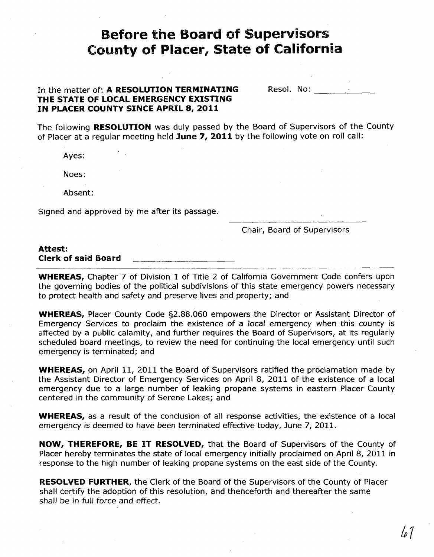# **Before the Board of Supervisors County of Placer, State of California**

# In the matter of: A **RESOLUTION TERMINATING THE STATE OF LOCAL EMERGENCY EXISTING IN PLACER COUNTY SINCE APRIL 8,2011**

| Resol. No: |  |  |  |
|------------|--|--|--|
|            |  |  |  |

The following **RESOLUTION** was duly passed by the Board of Supervisors of the County of Placer at a regular meeting held **June 7, 2011** by the following vote on roll call:

Ayes:

Noes:

Absent:

Signed and approved by me after its passage.

### Chair, Board of Supervisors

#### **Attest:**

**Clerk of said Board** 

**WHEREAS,** Chapter 7 of Division 1 of Title 2 of California Government Code confers upon the governing bodies of the political subdivisions of this state emergency powers necessary to protect health and safety and preserve lives and property; and

**WHEREAS,** Placer County Code §2.SS.060 empowers the Director or Assistant Director of Emergency Services to proclaim the existence of a local emergency when this county is affected by a public calamity, and further requires the Board of Supervisors, at its regularly scheduled board meetings, to review the need for continuing the local emergency until such emergency is terminated; and

**WHEREAS,** on April 11, 2011 the Board of Supervisors ratified the proclamation made by the Assistant Director of Emergency Services on April S, 2011 of the existence of a local emergency due to a large number of leaking propane systems in eastern Placer County centered in the community of Serene Lakes; and

**WHEREAS,** as a result of the conclusion of all response activities, the existence of a local emergency is deemed to have been terminated effective today, June 7, 2011.

**NOW, THEREFORE, BE IT RESOLVED,** that the Board of Supervisors of the County of Placer hereby terminates the state of local emergency initially proclaimed on April 8, 2011 in response to the high number of leaking propane systems on the east side of the County.

**RESOLVED FURTHER,** the Clerk of the Board of the Supervisors of the County of Placer shall certify the adoption of this resolution, and thenceforth and thereafter the same shall be in full force and effect.

lo 1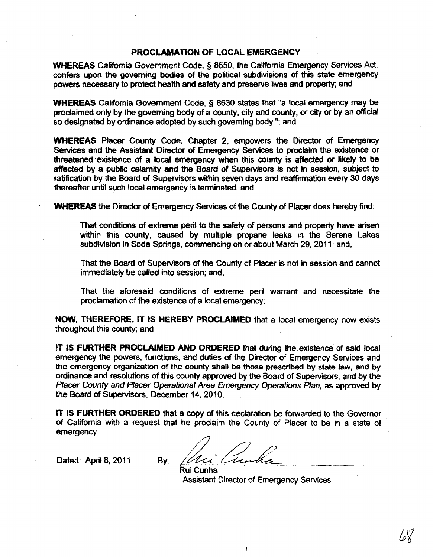### PROCLAMATION OF LOCAL EMERGENCY

WHEREAS California Government Code, § 8550, the California Emergency Services Act, confers upon the governing bodies of the political subdivisions of this state emergency powers necessary to protect health and safety and preserve lives and property; and

WHEREAS California Government Code, § 8630 states that "a local emergency may be proclaimed only by the governing body of a county, city and county, or city or by an official so designated by ordinance adopted by such governing body."; and

WHEREAS Placer County Code, Chapter 2, empowers the Director of Emergency Services and the Assistant Director of Emergency Services to proclaim the existence or threatened existence of a local emergency when this county is affected or likely to be affected by a public calamity and the Board of Supervisors is not in session, subject to ratification by the Board of Supervisors within seven days and reaffirmation every 30 days thereafter until such local emergency is terminated; and

WHEREAS the Director of Emergency Services of the County of Placer does hereby find:

That conditions of extreme peril to the safety of persons and property have arisen within this county, caused by multiple propane leaks in the Serene Lakes subdivision in SOda Springs, commencing on or about March 29, 2011; and,

That the Board of Supervisors of the County of Placer is not in session and cannot immediately be called into session; and,

That the aforesaid conditions of extreme peril warrant and necessitate the proclamation of the existence of a local emergency;

NOW, THEREFORE, IT IS HEREBY PROCLAIMED that a local emergency now exists throughout this county; and

IT IS FURTHER PROCLAIMED AND ORDERED that during the existence of said local emergency the powers, functions, and duties of the Director of Emergency Services and the emergency organization of the county shall be those prescribed by state law, and by ordinance and resofutions of this county approved by the Board of Supervisors, and by the Placer County and Placer Operational Area Emergency Operations Plan, as approved by the Board of Supervisors, December 14, 2010.

IT IS FURTHER ORDERED that a copy of this declaration be forwarded to the Governor of California with a request that he proclaim the County of Placer to be in a state of emergency.

Dated: April 8, 2011 By:

Assistant Director of Emergency Services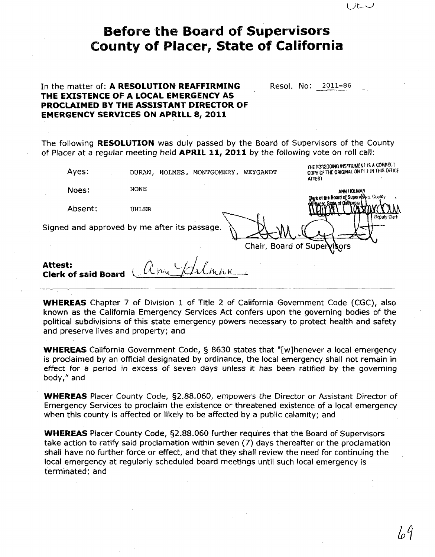| <b>Before the Board of Supervisors</b><br><b>County of Placer, State of California</b> |                                                                                                                                                                                     |                                                                                                       |  |  |  |
|----------------------------------------------------------------------------------------|-------------------------------------------------------------------------------------------------------------------------------------------------------------------------------------|-------------------------------------------------------------------------------------------------------|--|--|--|
|                                                                                        | In the matter of: A RESOLUTION REAFFIRMING<br>THE EXISTENCE OF A LOCAL EMERGENCY AS<br>PROCLAIMED BY THE ASSISTANT DIRECTOR OF<br><b>EMERGENCY SERVICES ON APRILL 8, 2011</b>       | Resol. No: 2011-86                                                                                    |  |  |  |
|                                                                                        | The following <b>RESOLUTION</b> was duly passed by the Board of Supervisors of the County<br>of Placer at a regular meeting held APRIL 11, 2011 by the following vote on roll call: |                                                                                                       |  |  |  |
| Ayes:                                                                                  | DURAN, HOLMES, MONTGOMERY, WEYGANDT                                                                                                                                                 | THE FOREGOING INSTRUMENT IS A CORRECT<br>COPY OF THE ORIGINAL ON FILE IN THIS OFFICE<br><b>ATTEST</b> |  |  |  |
| Noes:                                                                                  | <b>NONE</b>                                                                                                                                                                         | ann hOlman<br>oard of Supervisers. County                                                             |  |  |  |
| Absent:                                                                                | <b>UHLER</b>                                                                                                                                                                        | Deputy Clerk                                                                                          |  |  |  |
|                                                                                        | Signed and approved by me after its passage.                                                                                                                                        | Chair, Board of Super                                                                                 |  |  |  |
| <b>Attest:</b><br><b>Clerk of said Board</b>                                           |                                                                                                                                                                                     |                                                                                                       |  |  |  |
|                                                                                        |                                                                                                                                                                                     |                                                                                                       |  |  |  |

**WHEREAS** Chapter 7 of Division 1 of Title 2 of California Government Code (CGC), also known as the California Emergency Services Act confers upon the governing bodies of the political subdivisions of this state emergency powers necessary to protect health and safety and preserve lives and property; and

**WHEREAS** California Government Code, § 8630 states that "[w]henever a local emergency is proclaimed by an official designated by ordinance, the local emergency shall not remain in effect for a period in excess of seven days unless it has been ratified by the governing body," and

**WHEREAS** Placer County Code, §2.88.060, empowers the Director or Assistant Director of Emergency Services to proclaim the existence or threatened existence of a local emergency when this county is affected or likely to be affected by a public calamity; and

**WHEREAS** Placer County Code, §2.88.060 further requires that the Board of Supervisors take action to ratify said proclamation within seven (7) days thereafter or the proclamation shall have no further force or effect, and that they shall review the need for continuing the local emergency at regularly scheduled board meetings until such local emergency is terminated; and

ルーン